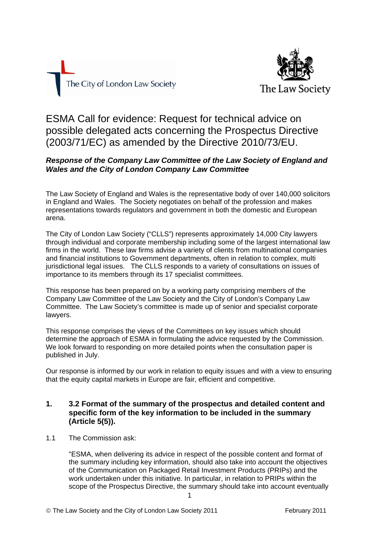



ESMA Call for evidence: Request for technical advice on possible delegated acts concerning the Prospectus Directive (2003/71/EC) as amended by the Directive 2010/73/EU.

# *Response of the Company Law Committee of the Law Society of England and Wales and the City of London Company Law Committee*

The Law Society of England and Wales is the representative body of over 140,000 solicitors in England and Wales. The Society negotiates on behalf of the profession and makes representations towards regulators and government in both the domestic and European arena.

The City of London Law Society ("CLLS") represents approximately 14,000 City lawyers through individual and corporate membership including some of the largest international law firms in the world. These law firms advise a variety of clients from multinational companies and financial institutions to Government departments, often in relation to complex, multi jurisdictional legal issues. The CLLS responds to a variety of consultations on issues of importance to its members through its 17 specialist committees.

This response has been prepared on by a working party comprising members of the Company Law Committee of the Law Society and the City of London's Company Law Committee. The Law Society's committee is made up of senior and specialist corporate lawyers.

This response comprises the views of the Committees on key issues which should determine the approach of ESMA in formulating the advice requested by the Commission. We look forward to responding on more detailed points when the consultation paper is published in July.

Our response is informed by our work in relation to equity issues and with a view to ensuring that the equity capital markets in Europe are fair, efficient and competitive.

## **1. 3.2 Format of the summary of the prospectus and detailed content and specific form of the key information to be included in the summary (Article 5(5)).**

1.1 The Commission ask:

"ESMA, when delivering its advice in respect of the possible content and format of the summary including key information, should also take into account the objectives of the Communication on Packaged Retail Investment Products (PRIPs) and the work undertaken under this initiative. In particular, in relation to PRIPs within the scope of the Prospectus Directive, the summary should take into account eventually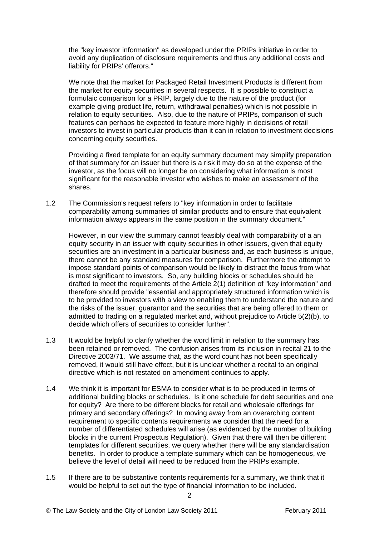the "key investor information" as developed under the PRIPs initiative in order to avoid any duplication of disclosure requirements and thus any additional costs and liability for PRIPs' offerors."

We note that the market for Packaged Retail Investment Products is different from the market for equity securities in several respects. It is possible to construct a formulaic comparison for a PRIP, largely due to the nature of the product (for example giving product life, return, withdrawal penalties) which is not possible in relation to equity securities. Also, due to the nature of PRIPs, comparison of such features can perhaps be expected to feature more highly in decisions of retail investors to invest in particular products than it can in relation to investment decisions concerning equity securities.

Providing a fixed template for an equity summary document may simplify preparation of that summary for an issuer but there is a risk it may do so at the expense of the investor, as the focus will no longer be on considering what information is most significant for the reasonable investor who wishes to make an assessment of the shares.

1.2 The Commission's request refers to "key information in order to facilitate comparability among summaries of similar products and to ensure that equivalent information always appears in the same position in the summary document."

However, in our view the summary cannot feasibly deal with comparability of a an equity security in an issuer with equity securities in other issuers, given that equity securities are an investment in a particular business and, as each business is unique, there cannot be any standard measures for comparison. Furthermore the attempt to impose standard points of comparison would be likely to distract the focus from what is most significant to investors. So, any building blocks or schedules should be drafted to meet the requirements of the Article 2(1) definition of "key information" and therefore should provide "essential and appropriately structured information which is to be provided to investors with a view to enabling them to understand the nature and the risks of the issuer, guarantor and the securities that are being offered to them or admitted to trading on a regulated market and, without prejudice to Article 5(2)(b), to decide which offers of securities to consider further".

- 1.3 It would be helpful to clarify whether the word limit in relation to the summary has been retained or removed. The confusion arises from its inclusion in recital 21 to the Directive 2003/71. We assume that, as the word count has not been specifically removed, it would still have effect, but it is unclear whether a recital to an original directive which is not restated on amendment continues to apply.
- 1.4 We think it is important for ESMA to consider what is to be produced in terms of additional building blocks or schedules. Is it one schedule for debt securities and one for equity? Are there to be different blocks for retail and wholesale offerings for primary and secondary offerings? In moving away from an overarching content requirement to specific contents requirements we consider that the need for a number of differentiated schedules will arise (as evidenced by the number of building blocks in the current Prospectus Regulation). Given that there will then be different templates for different securities, we query whether there will be any standardisation benefits. In order to produce a template summary which can be homogeneous, we believe the level of detail will need to be reduced from the PRIPs example.
- 1.5 If there are to be substantive contents requirements for a summary, we think that it would be helpful to set out the type of financial information to be included.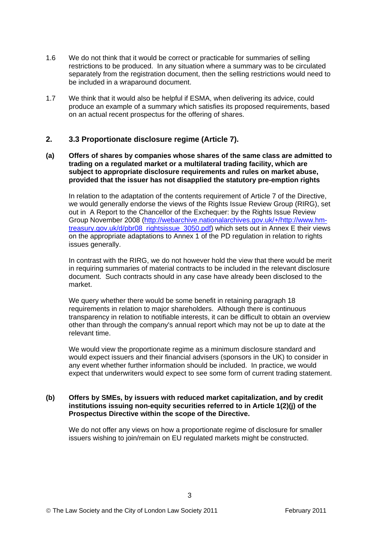- 1.6 We do not think that it would be correct or practicable for summaries of selling restrictions to be produced. In any situation where a summary was to be circulated separately from the registration document, then the selling restrictions would need to be included in a wraparound document.
- 1.7 We think that it would also be helpful if ESMA, when delivering its advice, could produce an example of a summary which satisfies its proposed requirements, based on an actual recent prospectus for the offering of shares.

### **2. 3.3 Proportionate disclosure regime (Article 7).**

**(a) Offers of shares by companies whose shares of the same class are admitted to trading on a regulated market or a multilateral trading facility, which are subject to appropriate disclosure requirements and rules on market abuse, provided that the issuer has not disapplied the statutory pre-emption rights** 

In relation to the adaptation of the contents requirement of Article 7 of the Directive, we would generally endorse the views of the Rights Issue Review Group (RIRG), set out in A Report to the Chancellor of the Exchequer: by the Rights Issue Review Group November 2008 ([http://webarchive.nationalarchives.gov.uk/+/http://www.hm](http://webarchive.nationalarchives.gov.uk/+/http:/www.hm-treasury.gov.uk/d/pbr08_rightsissue_3050.pdf)[treasury.gov.uk/d/pbr08\\_rightsissue\\_3050.pdf](http://webarchive.nationalarchives.gov.uk/+/http:/www.hm-treasury.gov.uk/d/pbr08_rightsissue_3050.pdf)) which sets out in Annex E their views on the appropriate adaptations to Annex 1 of the PD regulation in relation to rights issues generally.

In contrast with the RIRG, we do not however hold the view that there would be merit in requiring summaries of material contracts to be included in the relevant disclosure document. Such contracts should in any case have already been disclosed to the market.

We query whether there would be some benefit in retaining paragraph 18 requirements in relation to major shareholders. Although there is continuous transparency in relation to notifiable interests, it can be difficult to obtain an overview other than through the company's annual report which may not be up to date at the relevant time.

We would view the proportionate regime as a minimum disclosure standard and would expect issuers and their financial advisers (sponsors in the UK) to consider in any event whether further information should be included. In practice, we would expect that underwriters would expect to see some form of current trading statement.

#### **(b) Offers by SMEs, by issuers with reduced market capitalization, and by credit institutions issuing non-equity securities referred to in Article 1(2)(j) of the Prospectus Directive within the scope of the Directive.**

We do not offer any views on how a proportionate regime of disclosure for smaller issuers wishing to join/remain on EU regulated markets might be constructed.